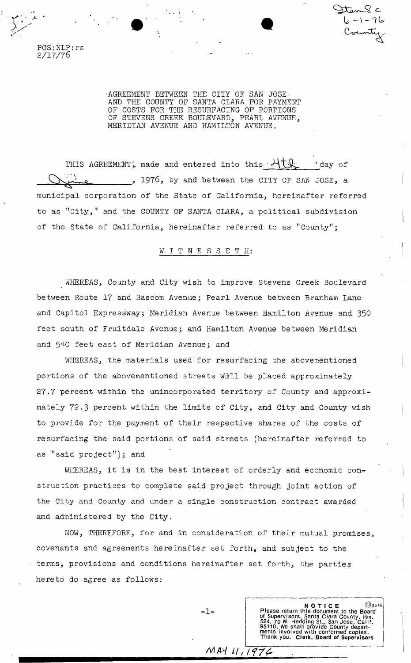PGS:NLP:rs 2/17/76

> •AGREEMENT BETWEEN THE CITY OF SAN JOSE. AND THE COUNTY OF SANTA CLARA FOR PAYMENT OF COSTS FOR THE RESURFACING OF PORTIONS OF STEVENS CREEK BOULEVARD, PEARL AVENUE, MERIDIAN AVENUE AND HAMILTON AVENUE.

**U - \ - u** 

THIS AGREEMENTS, made and entered into this  $\mathcal{H}_{\mathcal{K}}$ 'day of , 1976, by and between the CITY OF SAN JOSE, a municipal corporation of the State of California, hereinafter referred to as "City," and the COUNTY OF SANTA CLARA, a political subdivision of the State of California, hereinafter referred to as "County";

### WITNESSETH:

WHEREAS, County and City wish to improve Stevens Creek Boulevard between Route 17 and Bascom Avenue; Pearl Avenue between Branham Lane and Capitol Expressway; Meridian Avenue between Hamilton Avenue and 350 feet south of Fruitdale Avenue; and Hamilton Avenue between Meridian and 540 feet east of Meridian Avenue; and

WHEREAS, the materials used for resurfacing the abovementioned portions of the abovementioned streets will be placed approximately 27.7 percent within the unincorporated territory of County and approximately 72.3 percent within the limits of City, and City and County wish to provide for the payment of their respective shares of the costs of resurfacing the said portions of said streets (hereinafter referred to as "said project"); and

WHEREAS, it is in the best interest of orderly and economic construction practices to complete said project through joint action of the City and County and under a single construction contract awarded and administered by the City.

NOW, THEREFORE, for and in consideration of their mutual promises, covenants and agreements hereinafter set forth, and subject to the terms, provisions and conditions hereinafter set forth, the parties hereto do agree as follows:

 $-1 -$ <br>
Please return this document to the Board<br>
of Supervisors, Santa Chara County, Rm,<br>
524, 70 W. Hedding St., San Jose, Calif.<br>
95110. We shall provide County depart-<br>
ments involved with conformed copies.<br>
Thank you.

 $MAYU/1976$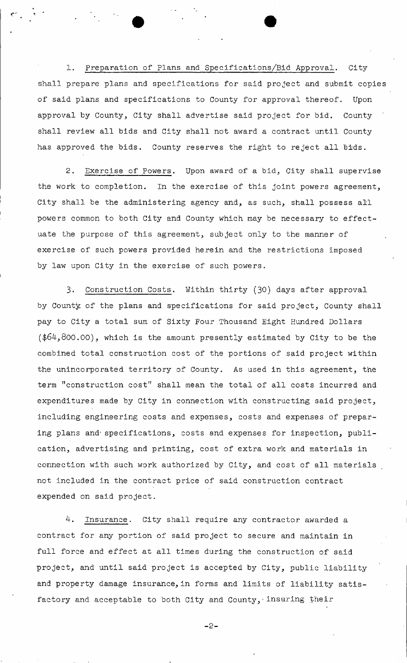1. Preparation of Plans and Specifications/Bid Approval. Cityshall prepare plans and specifications for said project and submit copies of said plans and specifications to County for approval thereof. Upon approval by County, City shall advertise said project for bid. County shall review all bids and City shall not award a contract until County has approved the bids. County reserves the right to reject all bids.

2. Exercise of Powers. Upon award of a bid, City shall supervise the work to completion. In the exercise of this joint powers agreement, City shall be the administering agency and, as such, shall possess all powers common to both City and County which may be necessary to effectuate the purpose of this agreement, subject only to the manner of exercise of such powers provided herein and the restrictions imposed by law upon City in the exercise of such powers.

3. Construction Costs. Within thirty (30) days after approval by County of the plans and specifications for said project, County shall pay to City a total sum of Sixty Four Thousand Eight Hundred Dollars  $(*64,800.00)$ , which is the amount presently estimated by City to be the combined total construction cost of the portions of said project within the unincorporated territory of County. As used in this agreement, the term "construction cost" shall mean the total of all costs incurred and expenditures made by City in connection with constructing said project, including engineering costs and expenses, costs and expenses of preparing plans and' specifications, costs and expenses for inspection, publication, advertising and printing, cost of extra work and materials in connection with such work authorized by City, and cost of all materials not included in the contract price of said construction contract expended on said project.

4. Insurance. City shall require any contractor awarded a contract for any portion of said project to secure and maintain in full force and effect at all times during the construction of said project, and until said project is accepted by City, public liability and property damage insurance, in forms and limits of liability satisfactory and acceptable to both City and County, insuring their

```
-2-
```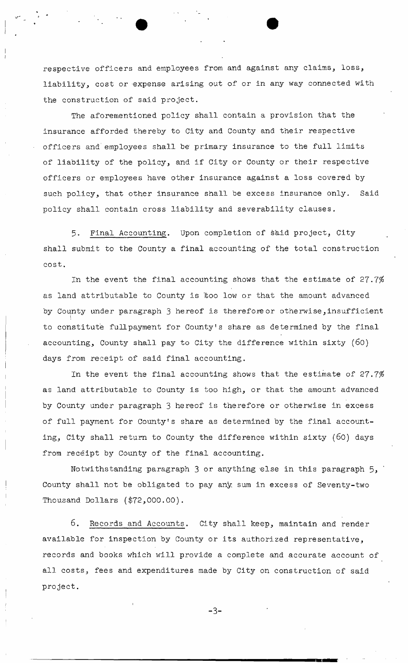respective officers and employees from and against any claims, loss, liability, cost or expense arising out of or in any way connected with the construction of said project.

The aforementioned policy shall contain a provision that the insurance afforded thereby to City and County and their respective officers and' employees shall be primary insurance to the full limits of liability of the policy, and if City or County or their respective officers or employees have other insurance against a loss covered by such policy, that other insurance shall be excess insurance only. Said policy shall contain cross liability and severability clauses.

5. Final Accounting. Upon completion of said project, City shall submit to the County a final accounting of the total construction cost.

In the event the final accounting shows that the estimate of  $27.7\%$ as land attributable to County is 'too low or that the amount advanced by County under paragraph 3 hereof is therefore or otherwise,insufficient to constitute fullpayment for County's share as determined by the final accounting, County shall pay to City the difference within sixty (60) days from receipt of said final accounting.

In the event the final accounting shows that the estimate of  $27.7\%$ as land attributable to County is too high, or that the amount advanced by County under paragraph 3 hereof is therefore or otherwise in excess of full payment for County's share as determined by the final accounting, City shall return to County the difference within sixty (60) days from receipt by County of the final accounting.

Notwithstanding paragraph  $3$  or anything else in this paragraph  $5,$ County shall not be obligated to pay any sum in excess of Seventy-two Thousand Dollars (\$72,000.00).

6. Records and Accounts. City shall keep, maintain and render available for inspection by County or its authorized representative, records and books which will provide a complete and accurate account of all costs, fees and expenditures made by City on construction of said project.

 $-3-$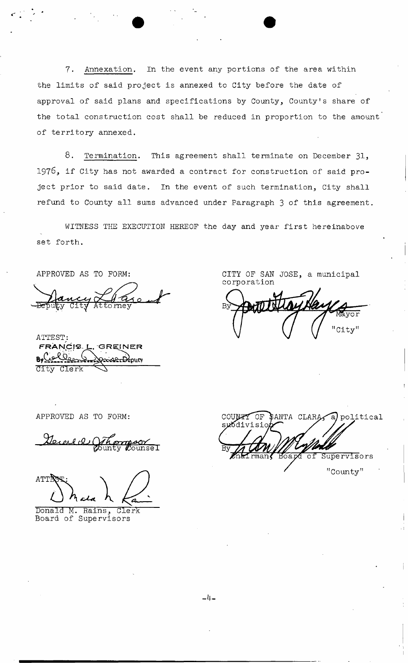7. Annexation. In the event any portions of the area within the limits of said project is annexed to City before the date of approval of said plans and specifications by County, County's share of the total construction cost shall be reduced in proportion to the amount of territory annexed.

8. Termination. This agreement shall terminate on December 31, 1976, if City has not awarded a contract for construction of said project prior to said date. In the event of such termination, City shall refund to County all sums advanced under Paragraph 3 of this agreement.

WITNESS THE EXECUTION HEREOF the day and year first hereinabove set forth.

APPROVED AS TO FORM:

to mev

ATTEST: FRANCIS- L, GREINE R **PE-Deputy** dity dlerk ^

CITY OF SAN JOSE, a municipal corporation

 $\overline{\text{var}}$ "City"

APPROVED AS TO FORM:

General Compoor  $\overline{\rm{course}}$   $\overline{\rm{I}}$ 

ATTE

Donald M. Rains^ Clerk Board of Supervisors

COUNTY OF  $\frac{N}{2}$ ANTA CLARA $\frac{N}{2}$  political suodivisio  $\widetilde{\text{carg}}$  of Supervisors

"County"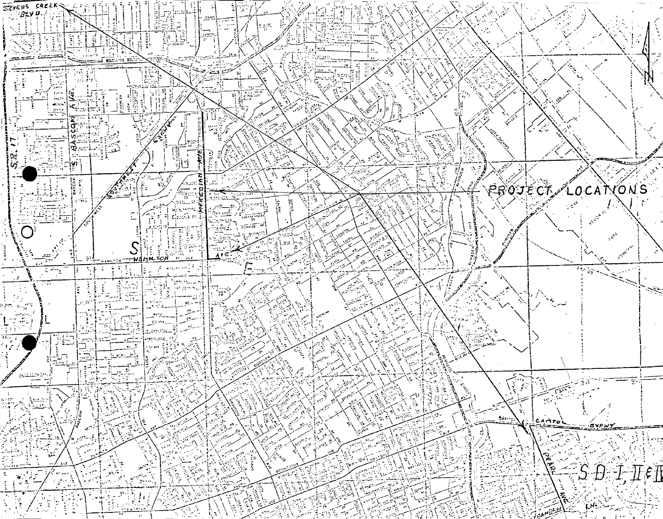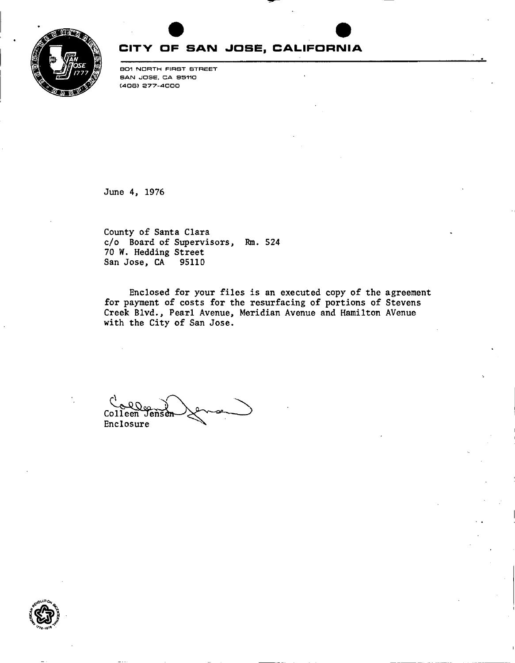

# **CITV OF SAN JOSE, CALIFORNIA**

SOI NORTH FIRST STREET SAN JOSE. CA S5110 (408) 277-4000

June 4, 1976

County of Santa Clara c/o Board of Supervisors, Rm. 524 70 W. Hedding Street San Jose, CA 95110

Enclosed for your files is an executed copy of the agreement for payment of costs for the resurfacing of portions of Stevens Creek Blvd., Pearl Avenue, Meridian Avenue and Hamilton AVenue with the City of San Jose.

 $Colleen$ Enclosure

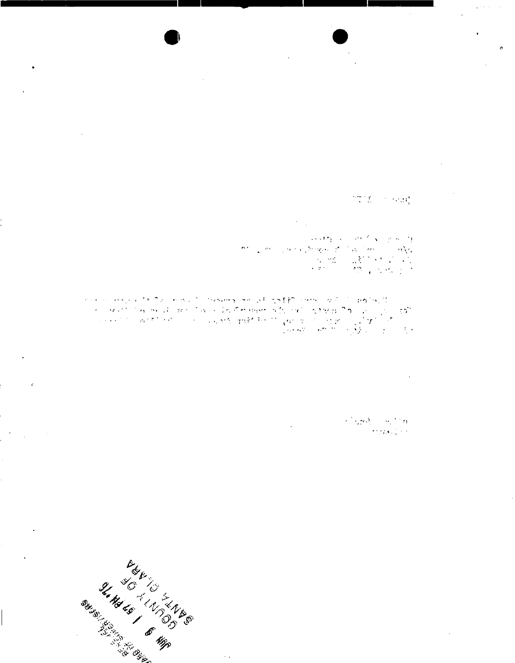$\alpha$ 

# $\mathcal{D} \left( \frac{\partial \mathcal{D}}{\partial \mathcal{D}} \right) = \mathcal{D} \left( \mathcal{D} \right) \mathcal{D} \left( \frac{\partial \mathcal{D}}{\partial \mathcal{D}} \right)$

 $\pmb{\sigma}$ 

 $\sum_{i=1}^n \frac{1}{i}$ 网络糖 医心神质医心包细胞

 $\sigma_{\rm{c}}$  .

 $\sim$   $\,$ 

 $\frac{\partial \mathcal{L}^{\mathcal{L}}(\theta)}{\partial \mathcal{L}^{\mathcal{L}}(\theta)} = \frac{\partial \mathcal{L}^{\mathcal{L}}(\theta)}{\partial \mathcal{L}^{\mathcal{L}}(\theta)}$ 

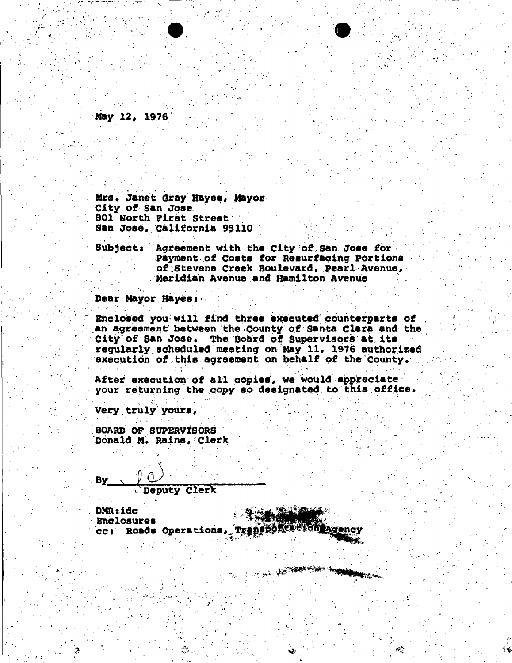**May 12, 1976** 

**Mrs. Janet GrayHayea, Mayor City of san Jose 801 North First Street San Joee, California 95lio** 

**Subjects Agreement with the city of,san Jose for payment of Coats for Resurfacing Portions**  of Stevens Creek Boulevard, Pearl Avenue, **. Meridian Avenue and Hamilton Avenue** 

Dear Mayor Hayes:

• \* *\* •* • • *^ • •* ' ' ; \*

**Enclosed you will find three executed counterparts of**  an agreement between the County of Santa Clara and the **Citylbf San Jose. The Board of Supervisors at its regularly scheduled meeting oh May 11, 1976 authorised execution of this agreement on behalf of the county.** 

**After execution of all copies, we would appreciate your returning the copy so designated to this office.** 

AND AND THE REAL PROPERTY AND REAL PROPERTY.

**Very truly yours,** 

By.

**BOARD OF SUPERVISORS Donald M. Rains, clerk** 

 $y$   $\cup$ 

**Deputy clerk** 

DMR:idc<br>Enclosures Enclosures ; cc: Roads Operations, Transporte trongagency

 $\mathbf{y} = \mathbf{y}$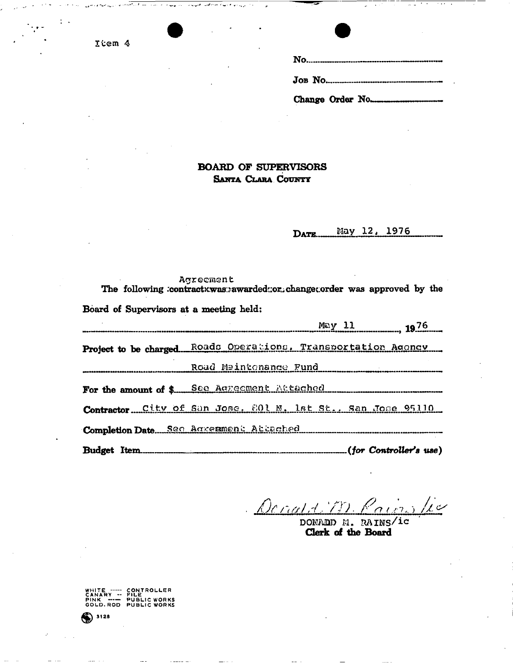Item 4

Change Order No.

#### **BOARD OF SUPERVISORS** SANTA CLARA COUNTY

#### May 12, 1976 DATE.

|                                                               | Agreement             | The following :contractxwas: awarded: or changer order was approved by the |               |                        |  |
|---------------------------------------------------------------|-----------------------|----------------------------------------------------------------------------|---------------|------------------------|--|
| Board of Supervisors at a meeting held:                       |                       |                                                                            |               |                        |  |
|                                                               |                       |                                                                            | $May$ 11 1976 |                        |  |
| Project to be charged Roads Operations, Transportation Agoncy |                       |                                                                            |               |                        |  |
|                                                               | Road Maintonance Fund |                                                                            |               |                        |  |
| For the amount of \$ See Agreement Attached                   |                       |                                                                            |               |                        |  |
| Contractor City of San Jose, 201 N. 1st St., San Jose 95110   |                       |                                                                            |               |                        |  |
|                                                               |                       |                                                                            |               |                        |  |
| <b>Rudget Item</b>                                            |                       |                                                                            |               | (for Controllar) (100) |  |

 $\frac{1}{2}$ Dorato

DONADD M. RAINS/ic Clerk of the Board

WHITE ----- CONTROLLER<br>CANARY -- FILE<br>PINK ---- PUBLICWORKS<br>GOLD.ROD PUBLICWORKS